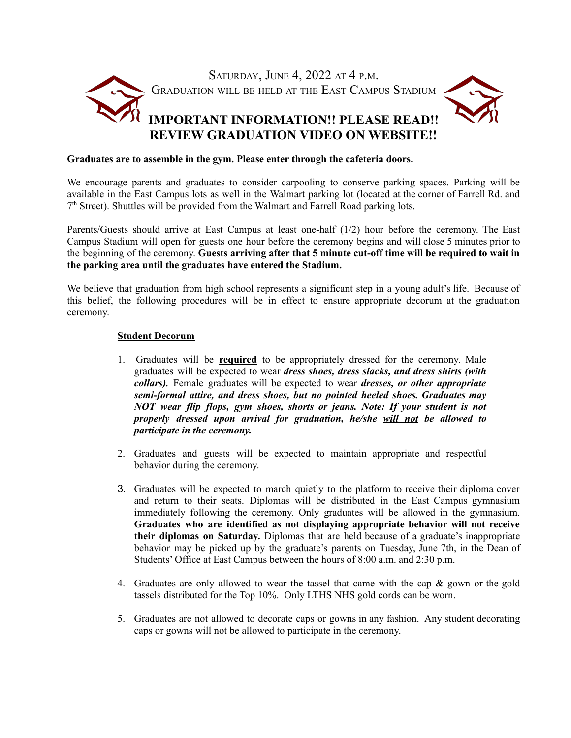

## **Graduates are to assemble in the gym. Please enter through the cafeteria doors.**

We encourage parents and graduates to consider carpooling to conserve parking spaces. Parking will be available in the East Campus lots as well in the Walmart parking lot (located at the corner of Farrell Rd. and 7<sup>th</sup> Street). Shuttles will be provided from the Walmart and Farrell Road parking lots.

Parents/Guests should arrive at East Campus at least one-half (1/2) hour before the ceremony. The East Campus Stadium will open for guests one hour before the ceremony begins and will close 5 minutes prior to the beginning of the ceremony. **Guests arriving after that 5 minute cut-off time will be required to wait in the parking area until the graduates have entered the Stadium.**

We believe that graduation from high school represents a significant step in a young adult's life. Because of this belief, the following procedures will be in effect to ensure appropriate decorum at the graduation ceremony.

## **Student Decorum**

- 1. Graduates will be **required** to be appropriately dressed for the ceremony. Male graduates will be expected to wear *dress shoes, dress slacks, and dress shirts (with collars).* Female graduates will be expected to wear *dresses, or other appropriate semi-formal attire, and dress shoes, but no pointed heeled shoes. Graduates may NOT wear flip flops, gym shoes, shorts or jeans. Note: If your student is not properly dressed upon arrival for graduation, he/she will not be allowed to participate in the ceremony.*
- 2. Graduates and guests will be expected to maintain appropriate and respectful behavior during the ceremony.
- 3. Graduates will be expected to march quietly to the platform to receive their diploma cover and return to their seats. Diplomas will be distributed in the East Campus gymnasium immediately following the ceremony. Only graduates will be allowed in the gymnasium. **Graduates who are identified as not displaying appropriate behavior will not receive their diplomas on Saturday.** Diplomas that are held because of a graduate's inappropriate behavior may be picked up by the graduate's parents on Tuesday, June 7th, in the Dean of Students' Office at East Campus between the hours of 8:00 a.m. and 2:30 p.m.
- 4. Graduates are only allowed to wear the tassel that came with the cap & gown or the gold tassels distributed for the Top 10%. Only LTHS NHS gold cords can be worn.
- 5. Graduates are not allowed to decorate caps or gowns in any fashion. Any student decorating caps or gowns will not be allowed to participate in the ceremony.